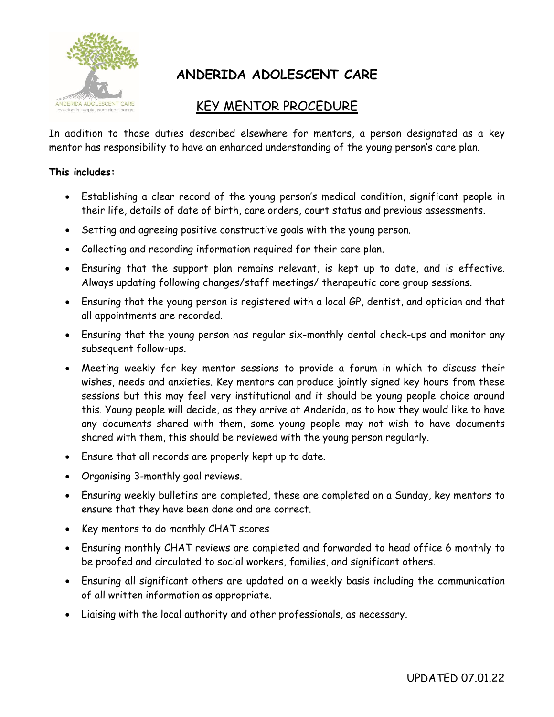

# **ANDERIDA ADOLESCENT CARE**

## KEY MENTOR PROCEDURE

In addition to those duties described elsewhere for mentors, a person designated as a key mentor has responsibility to have an enhanced understanding of the young person's care plan.

#### **This includes:**

- Establishing a clear record of the young person's medical condition, significant people in their life, details of date of birth, care orders, court status and previous assessments.
- Setting and agreeing positive constructive goals with the young person.
- Collecting and recording information required for their care plan.
- Ensuring that the support plan remains relevant, is kept up to date, and is effective. Always updating following changes/staff meetings/ therapeutic core group sessions.
- Ensuring that the young person is registered with a local GP, dentist, and optician and that all appointments are recorded.
- Ensuring that the young person has regular six-monthly dental check-ups and monitor any subsequent follow-ups.
- Meeting weekly for key mentor sessions to provide a forum in which to discuss their wishes, needs and anxieties. Key mentors can produce jointly signed key hours from these sessions but this may feel very institutional and it should be young people choice around this. Young people will decide, as they arrive at Anderida, as to how they would like to have any documents shared with them, some young people may not wish to have documents shared with them, this should be reviewed with the young person regularly.
- Ensure that all records are properly kept up to date.
- Organising 3-monthly goal reviews.
- Ensuring weekly bulletins are completed, these are completed on a Sunday, key mentors to ensure that they have been done and are correct.
- Key mentors to do monthly CHAT scores
- Ensuring monthly CHAT reviews are completed and forwarded to head office 6 monthly to be proofed and circulated to social workers, families, and significant others.
- Ensuring all significant others are updated on a weekly basis including the communication of all written information as appropriate.
- Liaising with the local authority and other professionals, as necessary.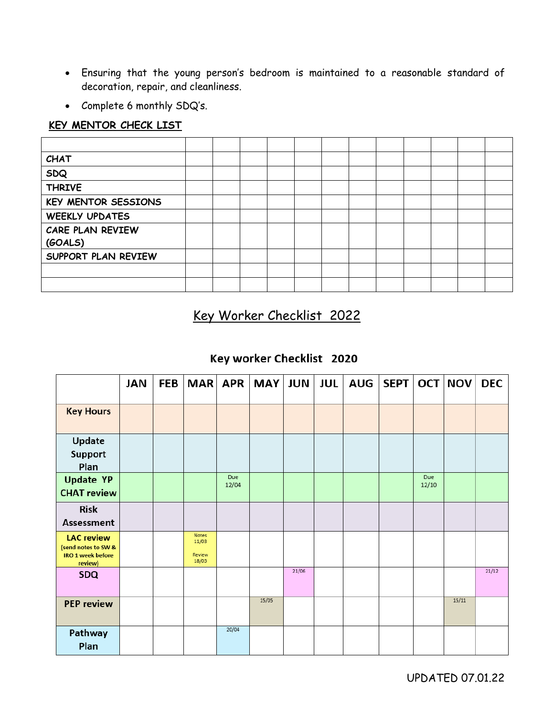- Ensuring that the young person's bedroom is maintained to a reasonable standard of decoration, repair, and cleanliness.
- Complete 6 monthly SDQ's.

#### **KEY MENTOR CHECK LIST**

| <b>CHAT</b>           |  |  |  |  |  |  |
|-----------------------|--|--|--|--|--|--|
| <b>SDQ</b>            |  |  |  |  |  |  |
| <b>THRIVE</b>         |  |  |  |  |  |  |
| KEY MENTOR SESSIONS   |  |  |  |  |  |  |
| <b>WEEKLY UPDATES</b> |  |  |  |  |  |  |
| CARE PLAN REVIEW      |  |  |  |  |  |  |
| (GOALS)               |  |  |  |  |  |  |
| SUPPORT PLAN REVIEW   |  |  |  |  |  |  |
|                       |  |  |  |  |  |  |
|                       |  |  |  |  |  |  |

## Key Worker Checklist 2022

### Key worker Checklist 2020

|                                                                                 | <b>JAN</b> | <b>FEB</b> | <b>MAR</b>                        | <b>APR</b>   | <b>MAY</b> | <b>JUN</b> | <b>JUL</b> | <b>AUG</b> | SEPT |              | OCT NOV | <b>DEC</b> |
|---------------------------------------------------------------------------------|------------|------------|-----------------------------------|--------------|------------|------------|------------|------------|------|--------------|---------|------------|
| <b>Key Hours</b>                                                                |            |            |                                   |              |            |            |            |            |      |              |         |            |
| Update<br><b>Support</b><br>Plan                                                |            |            |                                   |              |            |            |            |            |      |              |         |            |
| <b>Update YP</b><br><b>CHAT review</b>                                          |            |            |                                   | Due<br>12/04 |            |            |            |            |      | Due<br>12/10 |         |            |
| <b>Risk</b><br><b>Assessment</b>                                                |            |            |                                   |              |            |            |            |            |      |              |         |            |
| <b>LAC review</b><br>(send notes to SW &<br><b>IRO 1 week before</b><br>review) |            |            | Notes<br>11/03<br>Review<br>18/03 |              |            |            |            |            |      |              |         |            |
| <b>SDQ</b>                                                                      |            |            |                                   |              |            | 21/06      |            |            |      |              |         | 21/12      |
| <b>PEP review</b>                                                               |            |            |                                   |              | 15/05      |            |            |            |      |              | 15/11   |            |
| Pathway<br>Plan                                                                 |            |            |                                   | 20/04        |            |            |            |            |      |              |         |            |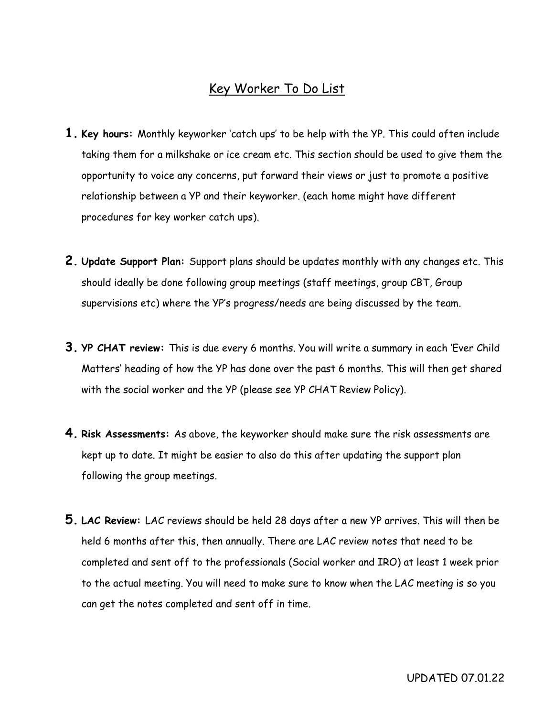### Key Worker To Do List

- **1. Key hours:** Monthly keyworker 'catch ups' to be help with the YP. This could often include taking them for a milkshake or ice cream etc. This section should be used to give them the opportunity to voice any concerns, put forward their views or just to promote a positive relationship between a YP and their keyworker. (each home might have different procedures for key worker catch ups).
- **2. Update Support Plan:** Support plans should be updates monthly with any changes etc. This should ideally be done following group meetings (staff meetings, group CBT, Group supervisions etc) where the YP's progress/needs are being discussed by the team.
- **3. YP CHAT review:** This is due every 6 months. You will write a summary in each 'Ever Child Matters' heading of how the YP has done over the past 6 months. This will then get shared with the social worker and the YP (please see YP CHAT Review Policy).
- **4. Risk Assessments:** As above, the keyworker should make sure the risk assessments are kept up to date. It might be easier to also do this after updating the support plan following the group meetings.
- **5. LAC Review:** LAC reviews should be held 28 days after a new YP arrives. This will then be held 6 months after this, then annually. There are LAC review notes that need to be completed and sent off to the professionals (Social worker and IRO) at least 1 week prior to the actual meeting. You will need to make sure to know when the LAC meeting is so you can get the notes completed and sent off in time.